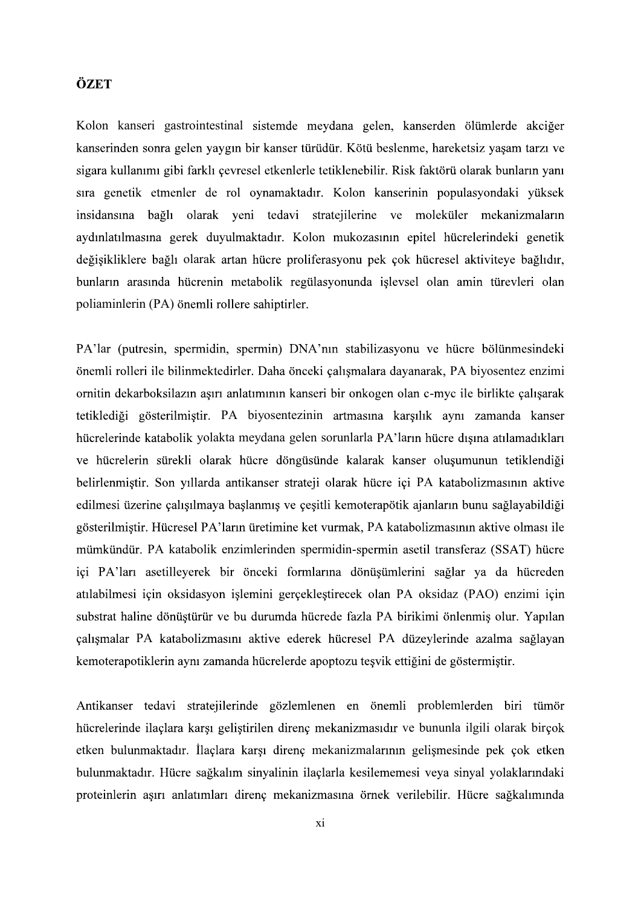## ÖZET

Kolon kanseri gastrointestinal sistemde meydana gelen, kanserden ölümlerde akciğer kanserinden sonra gelen vavgın bir kanser türüdür. Kötü beslenme, hareketsiz vasam tarzı ve sigara kullanımı gibi farklı çevresel etkenlerle tetiklenebilir. Risk faktörü olarak bunların yanı sıra genetik etmenler de rol oynamaktadır. Kolon kanserinin populasyondaki yüksek insidansına bağlı olarak yeni tedavi stratejilerine ve moleküler mekanizmaların aydınlatılmasına gerek duyulmaktadır. Kolon mukozasının epitel hücrelerindeki genetik değişikliklere bağlı olarak artan hücre proliferasyonu pek çok hücresel aktiviteye bağlıdır, bunların arasında hücrenin metabolik regülasyonunda islevsel olan amin türevleri olan poliaminlerin (PA) önemli rollere sahiptirler.

PA'lar (putresin, spermidin, spermin) DNA'nın stabilizasyonu ve hücre bölünmesindeki önemli rolleri ile bilinmektedirler. Daha önceki çalışmalara dayanarak, PA biyosentez enzimi ornitin dekarboksilazın aşırı anlatımının kanseri bir onkogen olan c-myc ile birlikte çalışarak tetiklediği gösterilmiştir. PA biyosentezinin artmasına karşılık aynı zamanda kanser hücrelerinde katabolik yolakta meydana gelen sorunlarla PA'ların hücre dışına atılamadıkları ve hücrelerin sürekli olarak hücre döngüsünde kalarak kanser oluşumunun tetiklendiği belirlenmiştir. Son yıllarda antikanser strateji olarak hücre içi PA katabolizmasının aktive edilmesi üzerine calısılmaya baslanmıs ve cesitli kemoterapötik ajanların bunu sağlayabildiği gösterilmistir. Hücresel PA'ların üretimine ket vurmak, PA katabolizmasının aktive olması ile mümkündür. PA katabolik enzimlerinden spermidin-spermin asetil transferaz (SSAT) hücre ici PA'ları asetilleyerek bir önceki formlarına dönüsümlerini sağlar va da hücreden atılabilmesi için oksidasyon işlemini gerçekleştirecek olan PA oksidaz (PAO) enzimi için substrat haline dönüştürür ve bu durumda hücrede fazla PA birikimi önlenmiş olur. Yapılan çalışmalar PA katabolizmasını aktive ederek hücresel PA düzeylerinde azalma sağlayan kemoterapotiklerin aynı zamanda hücrelerde apoptozu teşvik ettiğini de göstermiştir.

Antikanser tedavi stratejilerinde gözlemlenen en önemli problemlerden biri tümör hücrelerinde ilaçlara karşı geliştirilen direnç mekanizmasıdır ve bununla ilgili olarak birçok etken bulunmaktadır. İlaçlara karşı direnç mekanizmalarının gelişmesinde pek çok etken bulunmaktadır. Hücre sağkalım sinyalinin ilaçlarla kesilememesi veya sinyal yolaklarındaki proteinlerin aşırı anlatımları direnç mekanizmasına örnek verilebilir. Hücre sağkalımında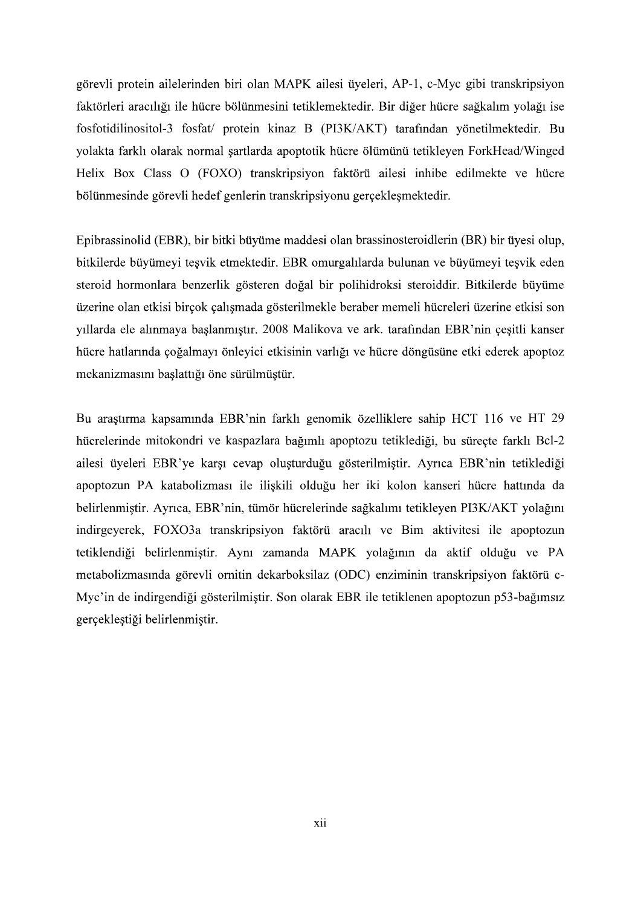görevli protein ailelerinden biri olan MAPK ailesi üyeleri, AP-1, c-Myc gibi transkripsiyon faktörleri aracılığı ile hücre bölünmesini tetiklemektedir. Bir diğer hücre sağkalım yolağı ise fosfotidilinositol-3 fosfat/ protein kinaz B (PI3K/AKT) yolakta farklı olarak normal şartlarda apoptotik hücre ölümünü tetikleyen ForkHead/Winged Helix Box Class O (FOXO) transkripsiyon faktörü ailesi inhibe edilmekte ve hücre bölünmesinde görevli hedef genlerin transkripsiyonu gerçeklesmektedir.

Epibrassinolid (EBR), bir bitki büyüme maddesi olan brassinosteroidlerin (BR) bir üyesi olup, bitkilerde büyümeyi teşvik etmektedir. EBR omurgalılarda bulunan ve büyümeyi teşvik eden steroid hormonlara benzerlik gösteren doğal bir polihidroksi steroiddir. Bitkilerde büyüme üzerine olan etkisi birçok çalışmada gösterilmekle beraber memeli hücreleri üzerine etkisi son villarda ele alınmaya baslanmıştır. 2008 Malikova ve ark. tarafından EBR'nin çesitli kanser hücre hatlarında çoğalmayı önleyici etkisinin varlığı ve hücre döngüsüne etki ederek apoptoz mekanizmasını baslattığı öne sürülmüstür.

Bu araştırma kapsamında EBR'nin farklı genomik özelliklere sahip HCT 116 ve HT 29 hücrelerinde mitokondri ve kaspazlara bağımlı apoptozu tetiklediği, bu süreçte farklı Bcl-2 ailesi üyeleri EBR'ye karşı cevap oluşturduğu gösterilmiştir. Ayrıca EBR'nin tetiklediği apoptozun PA katabolizması ile ilişkili olduğu her iki kolon kanseri hücre hattında da belirlenmistir. Ayrıca, EBR'nin, tümör hücrelerinde sağkalımı tetikleyen PI3K/AKT yolağını indirgeyerek, FOXO3a transkripsiyon faktörü aracılı ve Bim aktivitesi ile apoptozun tetiklendiği belirlenmiştir. Aynı zamanda MAPK yolağının da aktif olduğu ve PA metabolizmasında görevli ornitin dekarboksilaz (ODC) enziminin transkripsiyon faktörü c-Myc'in de indirgendiği gösterilmiştir. Son olarak EBR ile tetiklenen apoptozun p53-bağımsız gerçeklestiği belirlenmiştir.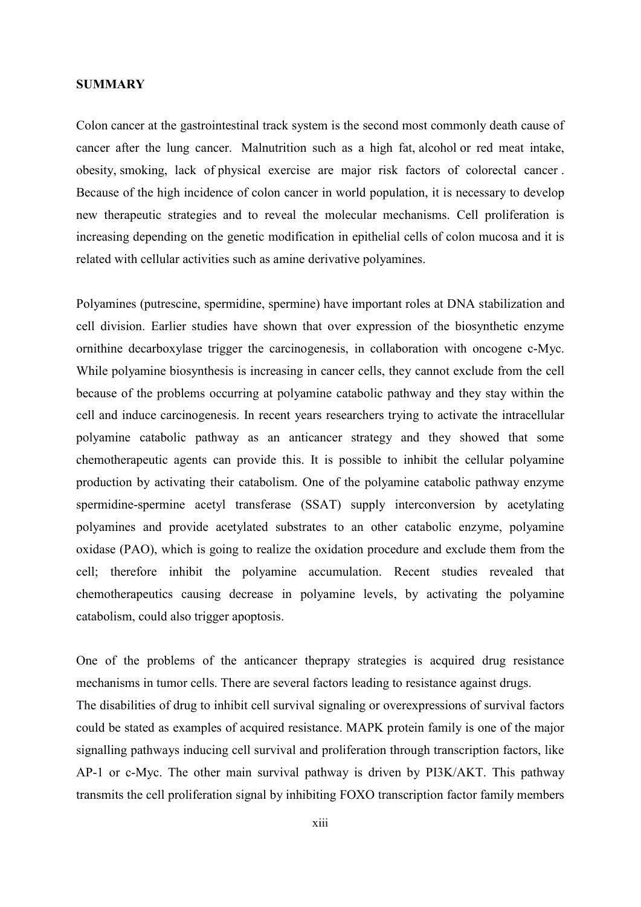## **SUMMARY**

Colon cancer at the gastrointestinal track system is the second most commonly death cause of cancer after the lung cancer. Malnutrition such as a high fat, alcohol or red meat intake, obesity, smoking, lack of physical exercise are major risk factors of colorectal cancer . Because of the high incidence of colon cancer in world population, it is necessary to develop new therapeutic strategies and to reveal the molecular mechanisms. Cell proliferation is increasing depending on the genetic modification in epithelial cells of colon mucosa and it is related with cellular activities such as amine derivative polyamines.

Polyamines (putrescine, spermidine, spermine) have important roles at DNA stabilization and cell division. Earlier studies have shown that over expression of the biosynthetic enzyme ornithine decarboxylase trigger the carcinogenesis, in collaboration with oncogene c-Myc. While polyamine biosynthesis is increasing in cancer cells, they cannot exclude from the cell because of the problems occurring at polyamine catabolic pathway and they stay within the cell and induce carcinogenesis. In recent years researchers trying to activate the intracellular polyamine catabolic pathway as an anticancer strategy and they showed that some chemotherapeutic agents can provide this. It is possible to inhibit the cellular polyamine production by activating their catabolism. One of the polyamine catabolic pathway enzyme spermidine-spermine acetyl transferase (SSAT) supply interconversion by acetylating polyamines and provide acetylated substrates to an other catabolic enzyme, polyamine oxidase (PAO), which is going to realize the oxidation procedure and exclude them from the cell; therefore inhibit the polyamine accumulation. Recent studies revealed that chemotherapeutics causing decrease in polyamine levels, by activating the polyamine catabolism, could also trigger apoptosis.

One of the problems of the anticancer theprapy strategies is acquired drug resistance mechanisms in tumor cells. There are several factors leading to resistance against drugs.

The disabilities of drug to inhibit cell survival signaling or overexpressions of survival factors could be stated as examples of acquired resistance. MAPK protein family is one of the major signalling pathways inducing cell survival and proliferation through transcription factors, like AP-1 or c-Myc. The other main survival pathway is driven by PI3K/AKT. This pathway transmits the cell proliferation signal by inhibiting FOXO transcription factor family members